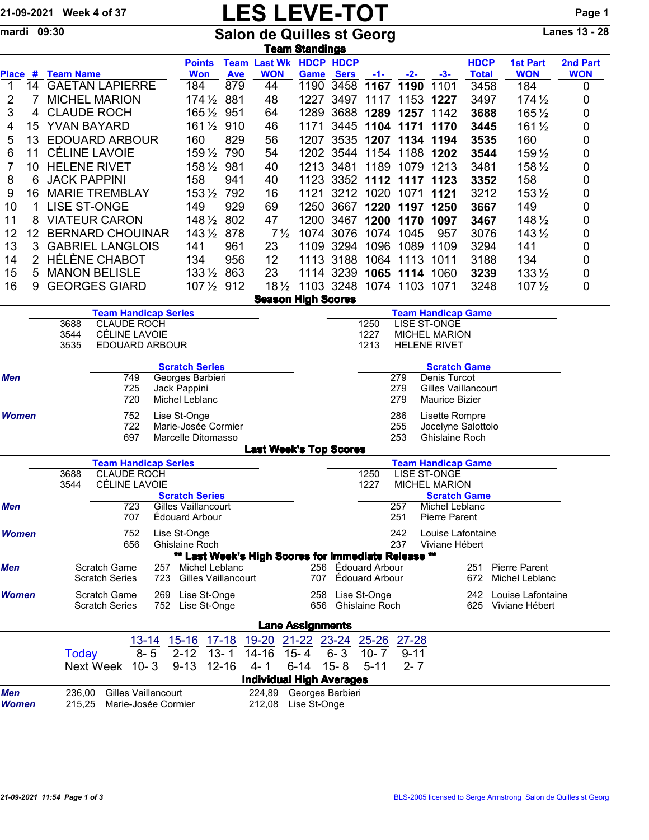## 21-09-2021 Week 4 of 37 **LES LEVE-TOT** Page 1

mardi 09:30 Salon de Quilles st Georg Lanes 13 - 28

|                                        |                            |                                                   |                             |           |                                                     |            |                | <u>Team Standings</u>           |                     |                       |                |                                             |                             |                               |                        |
|----------------------------------------|----------------------------|---------------------------------------------------|-----------------------------|-----------|-----------------------------------------------------|------------|----------------|---------------------------------|---------------------|-----------------------|----------------|---------------------------------------------|-----------------------------|-------------------------------|------------------------|
| Place #                                |                            | <b>Team Name</b>                                  |                             |           | <b>Points</b><br><b>Won</b>                         | <b>Ave</b> | <b>WON</b>     | <b>Team Last Wk HDCP HDCP</b>   | <b>Game Sers</b>    | $-1-$                 | $-2-$          | -3-                                         | <b>HDCP</b><br><b>Total</b> | <b>1st Part</b><br><b>WON</b> | 2nd Part<br><b>WON</b> |
| 1                                      | 14                         |                                                   | <b>GAETAN LAPIERRE</b>      |           | 184                                                 | 879        | 44             | 1190                            | 3458                |                       | 1167 1190      | 1101                                        | 3458                        | 184                           | 0                      |
| $\overline{2}$                         | 7                          |                                                   | <b>MICHEL MARION</b>        |           | $174\frac{1}{2}$                                    | 881        | 48             | 1227                            | 3497                | 1117                  |                | 1153 1227                                   | 3497                        | $174\frac{1}{2}$              | 0                      |
| 3                                      | 4                          |                                                   | <b>CLAUDE ROCH</b>          |           | $165\%$                                             | 951        | 64             | 1289                            | 3688                | 1289                  | 1257           | 1142                                        | 3688                        | 165 1/2                       | 0                      |
| 4                                      | 15                         | YVAN BAYARD                                       |                             |           | $161\frac{1}{2}$                                    | 910        | 46             | 1171                            | 3445                | 1104                  | 1171           | 1170                                        | 3445                        | 161 1/2                       | 0                      |
| 5                                      | 13                         |                                                   | <b>EDOUARD ARBOUR</b>       |           | 160                                                 | 829        | 56             | 1207                            | 3535                | 1207                  | 1134           | 1194                                        | 3535                        | 160                           | 0                      |
| 6                                      | 11                         |                                                   | <b>CÉLINE LAVOIE</b>        |           | 159 1/2                                             | 790        | 54             |                                 | 1202 3544 1154      |                       | 1188           | 1202                                        | 3544                        | 159 1/2                       | 0                      |
| $\overline{7}$                         | 10                         |                                                   | <b>HELENE RIVET</b>         |           | $158\frac{1}{2}$                                    | 981        | 40             |                                 | 1213 3481           | 1189                  | 1079           | 1213                                        | 3481                        | 158 1/2                       | 0                      |
| 8                                      | 6                          | <b>JACK PAPPINI</b>                               |                             |           | 158                                                 | 941        | 40             |                                 | 1123 3352 1112 1117 |                       |                | 1123                                        | 3352                        | 158                           | 0                      |
| 9                                      | 16                         |                                                   | <b>MARIE TREMBLAY</b>       |           | $153\frac{1}{2}$                                    | 792        | 16             | 1121                            |                     | 3212 1020             | 1071           | 1121                                        | 3212                        | 153 1/2                       | 0                      |
| 10                                     | 1                          | <b>LISE ST-ONGE</b>                               |                             |           | 149                                                 | 929        | 69             | 1250                            |                     |                       | 3667 1220 1197 | 1250                                        | 3667                        | 149                           | 0                      |
| 11                                     |                            |                                                   | <b>VIATEUR CARON</b>        |           | $148\frac{1}{2}$                                    | 802        | 47             |                                 | 1200 3467 1200 1170 |                       |                | 1097                                        | 3467                        | 148 1/2                       | 0                      |
| 12                                     | 12 <sup>2</sup>            |                                                   | <b>BERNARD CHOUINAR</b>     |           | $143\frac{1}{2}$                                    | 878        | $7\frac{1}{2}$ |                                 | 1074 3076 1074 1045 |                       |                | 957                                         | 3076                        | $143\frac{1}{2}$              | 0                      |
| 13                                     | 3                          |                                                   | <b>GABRIEL LANGLOIS</b>     |           | 141                                                 | 961        | 23             | 1109                            | 3294                | 1096                  | 1089           | 1109                                        | 3294                        | 141                           | 0                      |
| 14                                     | $\overline{2}$             |                                                   | <b>HÉLÈNE CHABOT</b>        |           | 134                                                 | 956        | 12             |                                 | 1113 3188           | 1064                  | 1113           | 1011                                        | 3188                        | 134                           | 0                      |
| 15                                     | 5                          |                                                   | <b>MANON BELISLE</b>        |           | $133\frac{1}{2}$                                    | 863        | 23             |                                 | 1114 3239 1065 1114 |                       |                | 1060                                        | 3239                        | $133\frac{1}{2}$              | 0                      |
| 16                                     | 9                          |                                                   | <b>GEORGES GIARD</b>        |           | 107 1/2 912                                         |            |                | 181/2 1103 3248 1074 1103       |                     |                       |                | 1071                                        | 3248                        | $107\frac{1}{2}$              | 0                      |
|                                        |                            |                                                   |                             |           |                                                     |            |                | <b>Season High Scores</b>       |                     |                       |                |                                             |                             |                               |                        |
|                                        |                            |                                                   | <b>Team Handicap Series</b> |           |                                                     |            |                |                                 |                     |                       |                | <b>Team Handicap Game</b>                   |                             |                               |                        |
|                                        | <b>CLAUDE ROCH</b><br>3688 |                                                   |                             |           |                                                     |            |                |                                 |                     | 1250                  |                | LISE ST-ONGE                                |                             |                               |                        |
|                                        |                            | 3544                                              | CÉLINE LAVOIE               |           |                                                     |            |                |                                 |                     | 1227                  |                | <b>MICHEL MARION</b>                        |                             |                               |                        |
|                                        |                            | 3535                                              | EDOUARD ARBOUR              |           |                                                     |            |                |                                 |                     | 1213                  |                | <b>HELENE RIVET</b>                         |                             |                               |                        |
|                                        |                            |                                                   |                             |           | <b>Scratch Series</b>                               |            |                |                                 |                     |                       |                | <b>Scratch Game</b>                         |                             |                               |                        |
| <b>Men</b>                             |                            | 749<br>Georges Barbieri<br>Jack Pappini           |                             |           |                                                     |            |                |                                 |                     |                       | 279            | Denis Turcot                                |                             |                               |                        |
|                                        |                            |                                                   | 725<br>720                  |           |                                                     |            |                |                                 |                     |                       | 279            | <b>Gilles Vaillancourt</b>                  |                             |                               |                        |
|                                        |                            | Michel Leblanc                                    |                             |           |                                                     |            |                |                                 |                     |                       | 279            | <b>Maurice Bizier</b>                       |                             |                               |                        |
| <b>Women</b>                           |                            | 752<br>Lise St-Onge<br>722<br>Marie-Josée Cormier |                             |           |                                                     |            |                |                                 |                     |                       | 286            | Lisette Rompre                              |                             |                               |                        |
|                                        |                            |                                                   | 697                         |           | Marcelle Ditomasso                                  |            |                |                                 |                     |                       | 255<br>253     | Jocelyne Salottolo<br>Ghislaine Roch        |                             |                               |                        |
|                                        |                            |                                                   |                             |           |                                                     |            |                | <b>Last Week's Top Scores</b>   |                     |                       |                |                                             |                             |                               |                        |
|                                        |                            |                                                   | <b>Team Handicap Series</b> |           |                                                     |            |                |                                 |                     |                       |                | <b>Team Handicap Game</b>                   |                             |                               |                        |
|                                        |                            | <b>CLAUDE ROCH</b><br>3688                        |                             |           |                                                     |            |                |                                 |                     | 1250                  |                | <b>LISE ST-ONGE</b>                         |                             |                               |                        |
|                                        |                            | 3544                                              | <b>CÉLINE LAVOIE</b>        |           | <b>Scratch Series</b>                               |            |                |                                 |                     | 1227                  |                | <b>MICHEL MARION</b><br><b>Scratch Game</b> |                             |                               |                        |
| <b>Men</b>                             |                            |                                                   | 723                         |           | Gilles Vaillancourt                                 |            |                |                                 |                     |                       | 257            | Michel Leblanc                              |                             |                               |                        |
|                                        |                            |                                                   | 707                         |           | Édouard Arbour                                      |            |                |                                 |                     |                       | 251            | Pierre Parent                               |                             |                               |                        |
| Women                                  |                            |                                                   | 752                         |           | Lise St-Onge                                        |            |                |                                 |                     |                       | 242            | Louise Lafontaine                           |                             |                               |                        |
|                                        |                            |                                                   | 656                         |           | <b>Ghislaine Roch</b>                               |            |                |                                 |                     |                       | 237            | Viviane Hébert                              |                             |                               |                        |
|                                        |                            |                                                   |                             |           | ** Last Week's High Scores for Immediate Release ** |            |                |                                 |                     |                       |                |                                             |                             |                               |                        |
| <b>Men</b>                             |                            |                                                   | Scratch Game                | 257       | Michel Leblanc                                      |            |                | 256                             |                     | Édouard Arbour        |                |                                             | 251                         | Pierre Parent                 |                        |
|                                        |                            |                                                   | <b>Scratch Series</b>       | 723       | Gilles Vaillancourt                                 |            |                | 707                             |                     | Édouard Arbour        |                |                                             | 672                         | Michel Leblanc                |                        |
| Women                                  |                            |                                                   | <b>Scratch Game</b>         | 269       | Lise St-Onge                                        |            |                | 258                             |                     | Lise St-Onge          |                |                                             | 242                         | Louise Lafontaine             |                        |
|                                        |                            |                                                   | <b>Scratch Series</b>       | 752       | Lise St-Onge                                        |            |                | 656                             |                     | <b>Ghislaine Roch</b> |                |                                             | 625                         | Viviane Hébert                |                        |
|                                        |                            |                                                   |                             |           |                                                     |            |                | <b>Lane Assignments</b>         |                     |                       |                |                                             |                             |                               |                        |
|                                        |                            |                                                   |                             | $13 - 14$ | $15 - 16$                                           | $17 - 18$  | 19-20          | 21-22 23-24                     |                     | $25 - 26$             | 27-28          |                                             |                             |                               |                        |
|                                        |                            | <b>Today</b>                                      |                             | $8 - 5$   | $2 - 12$                                            | $13 - 1$   | $14 - 16$      | $15 - 4$                        | $6 - 3$             | $10 - 7$              | $9 - 11$       |                                             |                             |                               |                        |
|                                        |                            |                                                   | Next Week                   | $10 - 3$  | $9 - 13$                                            | $12 - 16$  | $4 - 1$        | $6 - 14$                        | $15 - 8$            | $5 - 11$              | $2 - 7$        |                                             |                             |                               |                        |
|                                        |                            |                                                   |                             |           |                                                     |            |                | <b>Individual High Averages</b> |                     |                       |                |                                             |                             |                               |                        |
| Men                                    |                            | 236,00                                            | <b>Gilles Vaillancourt</b>  |           |                                                     |            |                | 224,89 Georges Barbieri         |                     |                       |                |                                             |                             |                               |                        |
| Marie-Josée Cormier<br>Women<br>215,25 |                            |                                                   |                             |           |                                                     |            | 212,08         | Lise St-Onge                    |                     |                       |                |                                             |                             |                               |                        |
|                                        |                            |                                                   |                             |           |                                                     |            |                |                                 |                     |                       |                |                                             |                             |                               |                        |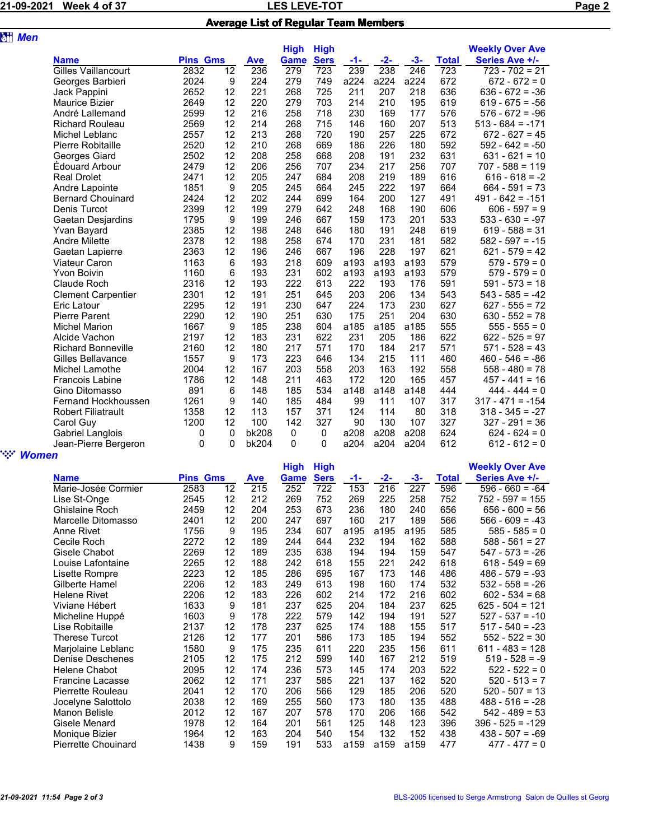## 21-09-2021 Week 4 of 37 LES LEVE-TOT Page 2 Average List of Regular Team Members

| <b>att</b> Men |                            |      |                  |       |             |             |       |       |       |              |                        |  |
|----------------|----------------------------|------|------------------|-------|-------------|-------------|-------|-------|-------|--------------|------------------------|--|
|                |                            |      |                  |       | <b>High</b> | <b>High</b> |       |       |       |              | <b>Weekly Over Ave</b> |  |
|                | <b>Name</b>                |      | <b>Pins Gms</b>  |       | <b>Game</b> | <b>Sers</b> | $-1-$ | $-2-$ | $-3-$ | <b>Total</b> | Series Ave +/-         |  |
|                | <b>Gilles Vaillancourt</b> | 2832 | 12               | 236   | 279         | 723         | 239   | 238   | 246   | 723          | $723 - 702 = 21$       |  |
|                | Georges Barbieri           | 2024 | 9                | 224   | 279         | 749         | a224  | a224  | a224  | 672          | $672 - 672 = 0$        |  |
|                | Jack Pappini               | 2652 | 12               | 221   | 268         | 725         | 211   | 207   | 218   | 636          | $636 - 672 = -36$      |  |
|                | Maurice Bizier             | 2649 | 12               | 220   | 279         | 703         | 214   | 210   | 195   | 619          | $619 - 675 = -56$      |  |
|                | André Lallemand            | 2599 | 12               | 216   | 258         | 718         | 230   | 169   | 177   | 576          | $576 - 672 = -96$      |  |
|                | <b>Richard Rouleau</b>     | 2569 | 12               | 214   | 268         | 715         | 146   | 160   | 207   | 513          | $513 - 684 = -171$     |  |
|                | Michel Leblanc             | 2557 | 12               | 213   | 268         | 720         | 190   | 257   | 225   | 672          | $672 - 627 = 45$       |  |
|                | Pierre Robitaille          | 2520 | 12               | 210   | 268         | 669         | 186   | 226   | 180   | 592          | $592 - 642 = -50$      |  |
|                | Georges Giard              | 2502 | 12               | 208   | 258         | 668         | 208   | 191   | 232   | 631          | $631 - 621 = 10$       |  |
|                | Édouard Arbour             | 2479 | 12               | 206   | 256         | 707         | 234   | 217   | 256   | 707          | $707 - 588 = 119$      |  |
|                | <b>Real Drolet</b>         | 2471 | 12               | 205   | 247         | 684         | 208   | 219   | 189   | 616          | $616 - 618 = -2$       |  |
|                | Andre Lapointe             | 1851 | 9                | 205   | 245         | 664         | 245   | 222   | 197   | 664          | $664 - 591 = 73$       |  |
|                | <b>Bernard Chouinard</b>   | 2424 | 12               | 202   | 244         | 699         | 164   | 200   | 127   | 491          | $491 - 642 = -151$     |  |
|                | Denis Turcot               | 2399 | 12               | 199   | 279         | 642         | 248   | 168   | 190   | 606          | $606 - 597 = 9$        |  |
|                | Gaetan Desjardins          | 1795 | $\boldsymbol{9}$ | 199   | 246         | 667         | 159   | 173   | 201   | 533          | $533 - 630 = -97$      |  |
|                | Yvan Bayard                | 2385 | 12               | 198   | 248         | 646         | 180   | 191   | 248   | 619          | $619 - 588 = 31$       |  |
|                | <b>Andre Milette</b>       | 2378 | 12               | 198   | 258         | 674         | 170   | 231   | 181   | 582          | $582 - 597 = -15$      |  |
|                | Gaetan Lapierre            | 2363 | 12               | 196   | 246         | 667         | 196   | 228   | 197   | 621          | $621 - 579 = 42$       |  |
|                | <b>Viateur Caron</b>       | 1163 | 6                | 193   | 218         | 609         | a193  | a193  | a193  | 579          | $579 - 579 = 0$        |  |
|                | <b>Yvon Boivin</b>         | 1160 | 6                | 193   | 231         | 602         | a193  | a193  | a193  | 579          | $579 - 579 = 0$        |  |
|                | Claude Roch                | 2316 | 12               | 193   | 222         | 613         | 222   | 193   | 176   | 591          | $591 - 573 = 18$       |  |
|                | <b>Clement Carpentier</b>  | 2301 | 12               | 191   | 251         | 645         | 203   | 206   | 134   | 543          | $543 - 585 = -42$      |  |
|                | Eric Latour                | 2295 | 12               | 191   | 230         | 647         | 224   | 173   | 230   | 627          | $627 - 555 = 72$       |  |
|                | Pierre Parent              | 2290 | 12               | 190   | 251         | 630         | 175   | 251   | 204   | 630          | $630 - 552 = 78$       |  |
|                | <b>Michel Marion</b>       | 1667 | 9                | 185   | 238         | 604         | a185  | a185  | a185  | 555          | $555 - 555 = 0$        |  |
|                | Alcide Vachon              | 2197 | 12               | 183   | 231         | 622         | 231   | 205   | 186   | 622          | $622 - 525 = 97$       |  |
|                | <b>Richard Bonneville</b>  | 2160 | 12               | 180   | 217         | 571         | 170   | 184   | 217   | 571          | $571 - 528 = 43$       |  |
|                | Gilles Bellavance          | 1557 | 9                | 173   | 223         | 646         | 134   | 215   | 111   | 460          | $460 - 546 = -86$      |  |
|                | Michel Lamothe             | 2004 | 12               | 167   | 203         | 558         | 203   | 163   | 192   | 558          | $558 - 480 = 78$       |  |
|                | <b>Francois Labine</b>     | 1786 | 12               | 148   | 211         | 463         | 172   | 120   | 165   | 457          | $457 - 441 = 16$       |  |
|                | Gino Ditomasso             | 891  | 6                | 148   | 185         | 534         | a148  | a148  | a148  | 444          | $444 - 444 = 0$        |  |
|                | Fernand Hockhoussen        | 1261 | 9                | 140   | 185         | 484         | 99    | 111   | 107   | 317          | $317 - 471 = -154$     |  |
|                | <b>Robert Filiatrault</b>  | 1358 | 12               | 113   | 157         | 371         | 124   | 114   | 80    | 318          | $318 - 345 = -27$      |  |
|                | Carol Guy                  | 1200 | 12               | 100   | 142         | 327         | 90    | 130   | 107   | 327          | $327 - 291 = 36$       |  |
|                | Gabriel Langlois           | 0    | 0                | bk208 | 0           | 0           | a208  | a208  | a208  | 624          | $624 - 624 = 0$        |  |
|                | Jean-Pierre Bergeron       | 0    | 0                | bk204 | 0           | 0           | a204  | a204  | a204  | 612          | $612 - 612 = 0$        |  |
| <b>Women</b>   |                            |      |                  |       |             |             |       |       |       |              |                        |  |

|                         |                 |    |     | <b>High</b> | <b>High</b> |       |       |       |       | <b>Weekly Over Ave</b> |
|-------------------------|-----------------|----|-----|-------------|-------------|-------|-------|-------|-------|------------------------|
| <b>Name</b>             | <b>Pins Gms</b> |    | Ave | Game        | <b>Sers</b> | $-1-$ | $-2-$ | $-3-$ | Total | Series Ave +/-         |
| Marie-Josée Cormier     | 2583            | 12 | 215 | 252         | 722         | 153   | 216   | 227   | 596   | $596 - 660 = -64$      |
| Lise St-Onge            | 2545            | 12 | 212 | 269         | 752         | 269   | 225   | 258   | 752   | $752 - 597 = 155$      |
| Ghislaine Roch          | 2459            | 12 | 204 | 253         | 673         | 236   | 180   | 240   | 656   | $656 - 600 = 56$       |
| Marcelle Ditomasso      | 2401            | 12 | 200 | 247         | 697         | 160   | 217   | 189   | 566   | $566 - 609 = -43$      |
| Anne Rivet              | 1756            | 9  | 195 | 234         | 607         | a195  | a195  | a195  | 585   | $585 - 585 = 0$        |
| Cecile Roch             | 2272            | 12 | 189 | 244         | 644         | 232   | 194   | 162   | 588   | $588 - 561 = 27$       |
| Gisele Chabot           | 2269            | 12 | 189 | 235         | 638         | 194   | 194   | 159   | 547   | $547 - 573 = -26$      |
| Louise Lafontaine       | 2265            | 12 | 188 | 242         | 618         | 155   | 221   | 242   | 618   | $618 - 549 = 69$       |
| Lisette Rompre          | 2223            | 12 | 185 | 286         | 695         | 167   | 173   | 146   | 486   | $486 - 579 = -93$      |
| Gilberte Hamel          | 2206            | 12 | 183 | 249         | 613         | 198   | 160   | 174   | 532   | $532 - 558 = -26$      |
| <b>Helene Rivet</b>     | 2206            | 12 | 183 | 226         | 602         | 214   | 172   | 216   | 602   | $602 - 534 = 68$       |
| Viviane Hébert          | 1633            | 9  | 181 | 237         | 625         | 204   | 184   | 237   | 625   | $625 - 504 = 121$      |
| Micheline Huppé         | 1603            | 9  | 178 | 222         | 579         | 142   | 194   | 191   | 527   | $527 - 537 = -10$      |
| Lise Robitaille         | 2137            | 12 | 178 | 237         | 625         | 174   | 188   | 155   | 517   | $517 - 540 = -23$      |
| <b>Therese Turcot</b>   | 2126            | 12 | 177 | 201         | 586         | 173   | 185   | 194   | 552   | $552 - 522 = 30$       |
| Marjolaine Leblanc      | 1580            | 9  | 175 | 235         | 611         | 220   | 235   | 156   | 611   | $611 - 483 = 128$      |
| Denise Deschenes        | 2105            | 12 | 175 | 212         | 599         | 140   | 167   | 212   | 519   | $519 - 528 = -9$       |
| Helene Chabot           | 2095            | 12 | 174 | 236         | 573         | 145   | 174   | 203   | 522   | $522 - 522 = 0$        |
| <b>Francine Lacasse</b> | 2062            | 12 | 171 | 237         | 585         | 221   | 137   | 162   | 520   | $520 - 513 = 7$        |
| Pierrette Rouleau       | 2041            | 12 | 170 | 206         | 566         | 129   | 185   | 206   | 520   | $520 - 507 = 13$       |
| Jocelyne Salottolo      | 2038            | 12 | 169 | 255         | 560         | 173   | 180   | 135   | 488   | $488 - 516 = -28$      |
| Manon Belisle           | 2012            | 12 | 167 | 207         | 578         | 170   | 206   | 166   | 542   | $542 - 489 = 53$       |
| Gisele Menard           | 1978            | 12 | 164 | 201         | 561         | 125   | 148   | 123   | 396   | $396 - 525 = -129$     |
| Monique Bizier          | 1964            | 12 | 163 | 204         | 540         | 154   | 132   | 152   | 438   | $438 - 507 = -69$      |
| Pierrette Chouinard     | 1438            | 9  | 159 | 191         | 533         | a159  | a159  | a159  | 477   | $477 - 477 = 0$        |